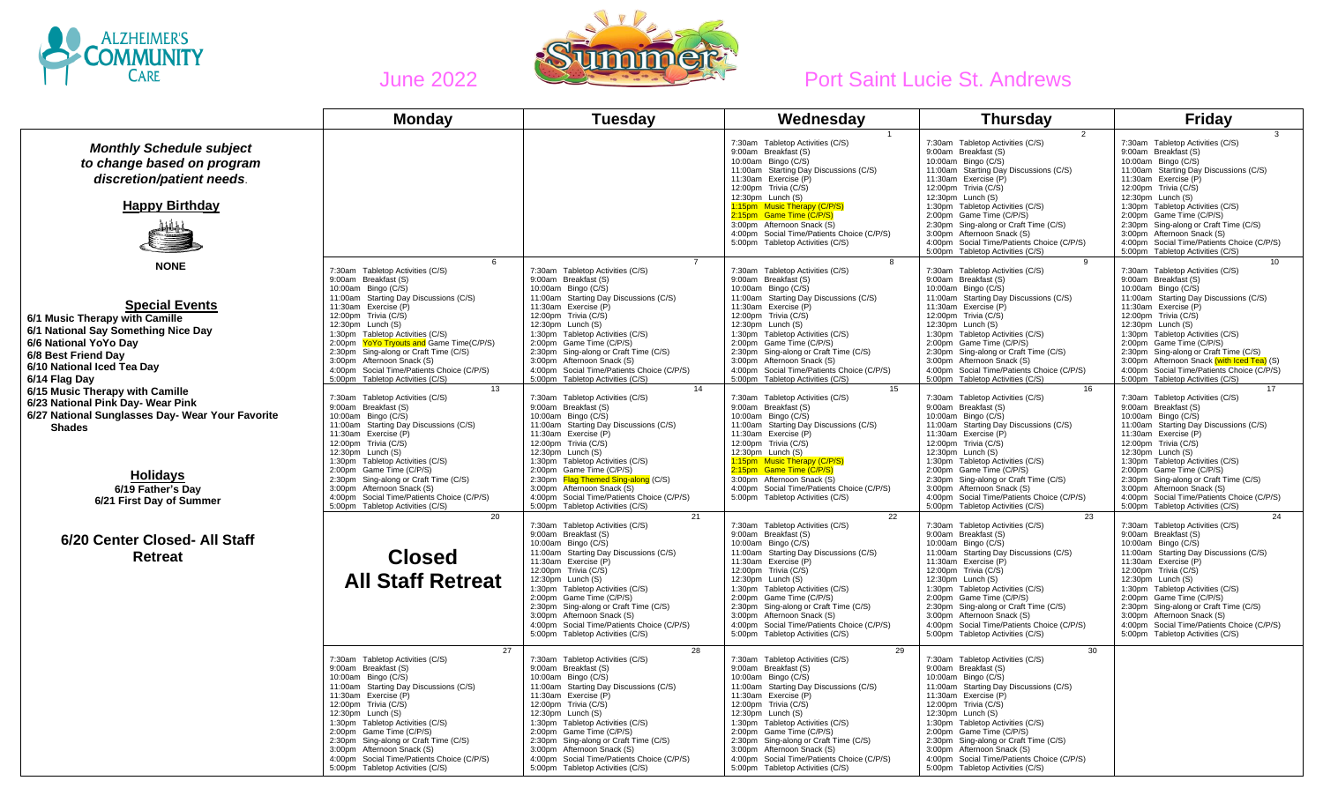



|                                                                                                                                                                                               | <b>Monday</b>                                                                                                                                                                                                                                                                                                                                                                                                                 | <b>Tuesday</b>                                                                                                                                                                                                                                                                                                                                                                                                                | Wednesday                                                                                                                                                                                                                                                                                                                                                                                                                     | <b>Thursday</b>                                                                                                                                                                                                                                                                                                                                                                                                               | Friday                                                                                                                                                                                                                                                                                                                                                                                                                        |
|-----------------------------------------------------------------------------------------------------------------------------------------------------------------------------------------------|-------------------------------------------------------------------------------------------------------------------------------------------------------------------------------------------------------------------------------------------------------------------------------------------------------------------------------------------------------------------------------------------------------------------------------|-------------------------------------------------------------------------------------------------------------------------------------------------------------------------------------------------------------------------------------------------------------------------------------------------------------------------------------------------------------------------------------------------------------------------------|-------------------------------------------------------------------------------------------------------------------------------------------------------------------------------------------------------------------------------------------------------------------------------------------------------------------------------------------------------------------------------------------------------------------------------|-------------------------------------------------------------------------------------------------------------------------------------------------------------------------------------------------------------------------------------------------------------------------------------------------------------------------------------------------------------------------------------------------------------------------------|-------------------------------------------------------------------------------------------------------------------------------------------------------------------------------------------------------------------------------------------------------------------------------------------------------------------------------------------------------------------------------------------------------------------------------|
| <b>Monthly Schedule subject</b><br>to change based on program<br>discretion/patient needs.<br><b>Happy Birthday</b>                                                                           |                                                                                                                                                                                                                                                                                                                                                                                                                               |                                                                                                                                                                                                                                                                                                                                                                                                                               | 7:30am Tabletop Activities (C/S)<br>9:00am Breakfast (S)<br>10:00am Bingo (C/S)<br>11:00am Starting Day Discussions (C/S)<br>11:30am Exercise (P)<br>12:00pm Trivia (C/S)<br>12:30pm Lunch (S)<br>1:15pm Music Therapy (C/P/S)<br>2:15pm Game Time (C/P/S)<br>3:00pm Afternoon Snack (S)<br>4:00pm Social Time/Patients Choice (C/P/S)<br>5:00pm Tabletop Activities (C/S)                                                    | 7:30am Tabletop Activities (C/S)<br>9:00am Breakfast (S)<br>10:00am Bingo (C/S)<br>11:00am Starting Day Discussions (C/S)<br>11:30am Exercise (P)<br>12:00pm Trivia (C/S)<br>12:30pm Lunch (S)<br>1:30pm Tabletop Activities (C/S)<br>2:00pm Game Time (C/P/S)<br>2:30pm Sing-along or Craft Time (C/S)<br>3:00pm Afternoon Snack (S)<br>4:00pm Social Time/Patients Choice (C/P/S)<br>5:00pm Tabletop Activities (C/S)       | 7:30am Tabletop Activities (C/S)<br>9:00am Breakfast (S)<br>10:00am Bingo (C/S)<br>11:00am Starting Day Discussions (C/S)<br>11:30am Exercise (P)<br>12:00pm Trivia (C/S)<br>12:30pm Lunch (S)<br>1:30pm Tabletop Activities (C/S)<br>2:00pm Game Time (C/P/S)<br>2:30pm Sing-along or Craft Time (C/S)<br>3:00pm Afternoon Snack (S)<br>4:00pm Social Time/Patients Choice (C/P/S)<br>5:00pm Tabletop Activities (C/S)       |
| <b>NONE</b>                                                                                                                                                                                   | 6<br>7:30am Tabletop Activities (C/S)                                                                                                                                                                                                                                                                                                                                                                                         | 7:30am Tabletop Activities (C/S)                                                                                                                                                                                                                                                                                                                                                                                              | 8<br>7:30am Tabletop Activities (C/S)                                                                                                                                                                                                                                                                                                                                                                                         | 7:30am Tabletop Activities (C/S)                                                                                                                                                                                                                                                                                                                                                                                              | 7:30am Tabletop Activities (C/S)                                                                                                                                                                                                                                                                                                                                                                                              |
| <b>Special Events</b><br>6/1 Music Therapy with Camille<br>6/1 National Say Something Nice Day<br>6/6 National YoYo Dav<br>6/8 Best Friend Day<br>6/10 National Iced Tea Day<br>6/14 Flag Day | 9:00am Breakfast (S)<br>10:00am Bingo (C/S)<br>11:00am Starting Day Discussions (C/S)<br>11:30am Exercise (P)<br>12:00pm Trivia (C/S)<br>12:30pm Lunch (S)<br>1:30pm Tabletop Activities (C/S)<br>2:00pm YoYo Tryouts and Game Time(C/P/S)<br>2:30pm Sing-along or Craft Time (C/S)<br>3:00pm Afternoon Snack (S)<br>4:00pm Social Time/Patients Choice (C/P/S)<br>5:00pm Tabletop Activities (C/S)                           | 9:00am Breakfast (S)<br>10:00am Bingo (C/S)<br>11:00am Starting Day Discussions (C/S)<br>11:30am Exercise (P)<br>12:00pm Trivia (C/S)<br>12:30pm Lunch (S)<br>1:30pm Tabletop Activities (C/S)<br>2:00pm Game Time (C/P/S)<br>2:30pm Sing-along or Craft Time (C/S)<br>3:00pm Afternoon Snack (S)<br>4:00pm Social Time/Patients Choice (C/P/S)<br>5:00pm Tabletop Activities (C/S)                                           | 9:00am Breakfast (S)<br>10:00am Bingo (C/S)<br>11:00am Starting Day Discussions (C/S)<br>11:30am Exercise (P)<br>12:00pm Trivia (C/S)<br>12:30pm Lunch (S)<br>1:30pm Tabletop Activities (C/S)<br>2:00pm Game Time (C/P/S)<br>2:30pm Sing-along or Craft Time (C/S)<br>3:00pm Afternoon Snack (S)<br>4:00pm Social Time/Patients Choice (C/P/S)<br>5:00pm Tabletop Activities (C/S)                                           | 9:00am Breakfast (S)<br>10:00am Bingo (C/S)<br>11:00am Starting Day Discussions (C/S)<br>11:30am Exercise (P)<br>12:00pm Trivia (C/S)<br>12:30pm Lunch (S)<br>1:30pm Tabletop Activities (C/S)<br>2:00pm Game Time (C/P/S)<br>2:30pm Sing-along or Craft Time (C/S)<br>3:00pm Afternoon Snack (S)<br>4:00pm Social Time/Patients Choice (C/P/S)<br>5:00pm Tabletop Activities (C/S)                                           | 9:00am Breakfast (S)<br>10:00am Bingo (C/S)<br>11:00am Starting Day Discussions (C/S)<br>11:30am Exercise (P)<br>12:00pm Trivia (C/S)<br>12:30pm Lunch (S)<br>1:30pm Tabletop Activities (C/S)<br>2:00pm Game Time (C/P/S)<br>2:30pm Sing-along or Craft Time (C/S)<br>3:00pm Afternoon Snack (with Iced Tea) (S)<br>4:00pm Social Time/Patients Choice (C/P/S)<br>5:00pm Tabletop Activities (C/S)                           |
| 6/15 Music Therapy with Camille<br>6/23 National Pink Day- Wear Pink<br>6/27 National Sunglasses Day- Wear Your Favorite<br><b>Shades</b>                                                     | 13<br>7:30am Tabletop Activities (C/S)<br>9:00am Breakfast (S)<br>10:00am Bingo (C/S)<br>11:00am Starting Day Discussions (C/S)<br>11:30am Exercise (P)<br>12:00pm Trivia (C/S)<br>12:30pm Lunch (S)<br>1:30pm Tabletop Activities (C/S)                                                                                                                                                                                      | 14<br>7:30am Tabletop Activities (C/S)<br>9:00am Breakfast (S)<br>10:00am Bingo (C/S)<br>11:00am Starting Day Discussions (C/S)<br>11:30am Exercise (P)<br>12:00pm Trivia (C/S)<br>12:30pm Lunch (S)<br>1:30pm Tabletop Activities (C/S)                                                                                                                                                                                      | 15<br>7:30am Tabletop Activities (C/S)<br>9:00am Breakfast (S)<br>10:00am Bingo (C/S)<br>11:00am Starting Day Discussions (C/S)<br>11:30am Exercise (P)<br>12:00pm Trivia (C/S)<br>12:30pm Lunch (S)<br>1:15pm Music Therapy (C/P/S)                                                                                                                                                                                          | 16<br>7:30am Tabletop Activities (C/S)<br>9:00am Breakfast (S)<br>10:00am Bingo (C/S)<br>11:00am Starting Day Discussions (C/S)<br>11:30am Exercise (P)<br>12:00pm Trivia (C/S)<br>12:30pm Lunch (S)<br>1:30pm Tabletop Activities (C/S)                                                                                                                                                                                      | 17<br>7:30am Tabletop Activities (C/S)<br>9:00am Breakfast (S)<br>10:00am Bingo (C/S)<br>11:00am Starting Day Discussions (C/S)<br>11:30am Exercise (P)<br>12:00pm Trivia (C/S)<br>12:30pm Lunch (S)<br>1:30pm Tabletop Activities (C/S)                                                                                                                                                                                      |
| <b>Holidavs</b><br>6/19 Father's Day<br>6/21 First Day of Summer                                                                                                                              | 2:00pm Game Time (C/P/S)<br>2:30pm Sing-along or Craft Time (C/S)<br>3:00pm Afternoon Snack (S)<br>4:00pm Social Time/Patients Choice (C/P/S)<br>5:00pm Tabletop Activities (C/S)                                                                                                                                                                                                                                             | 2:00pm Game Time (C/P/S)<br>2:30pm Flag Themed Sing-along (C/S)<br>3:00pm Afternoon Snack (S)<br>4:00pm Social Time/Patients Choice (C/P/S)<br>5:00pm Tabletop Activities (C/S)                                                                                                                                                                                                                                               | 2:15pm Game Time (C/P/S)<br>3:00pm Afternoon Snack (S)<br>4:00pm Social Time/Patients Choice (C/P/S)<br>5:00pm Tabletop Activities (C/S)                                                                                                                                                                                                                                                                                      | 2:00pm Game Time (C/P/S)<br>2:30pm Sing-along or Craft Time (C/S)<br>3:00pm Afternoon Snack (S)<br>4:00pm Social Time/Patients Choice (C/P/S)<br>5:00pm Tabletop Activities (C/S)                                                                                                                                                                                                                                             | 2:00pm Game Time (C/P/S)<br>2:30pm Sing-along or Craft Time (C/S)<br>3:00pm Afternoon Snack (S)<br>4:00pm Social Time/Patients Choice (C/P/S)<br>5:00pm Tabletop Activities (C/S)                                                                                                                                                                                                                                             |
| 6/20 Center Closed- All Staff<br><b>Retreat</b>                                                                                                                                               | 20<br><b>Closed</b><br><b>All Staff Retreat</b>                                                                                                                                                                                                                                                                                                                                                                               | 21<br>7:30am Tabletop Activities (C/S)<br>9:00am Breakfast (S)<br>10:00am Bingo (C/S)<br>11:00am Starting Day Discussions (C/S)<br>11:30am Exercise (P)<br>12:00pm Trivia (C/S)<br>12:30pm Lunch (S)<br>1:30pm Tabletop Activities (C/S)<br>2:00pm Game Time (C/P/S)<br>2:30pm Sing-along or Craft Time (C/S)<br>3:00pm Afternoon Snack (S)<br>4:00pm Social Time/Patients Choice (C/P/S)<br>5:00pm Tabletop Activities (C/S) | 22<br>7:30am Tabletop Activities (C/S)<br>9:00am Breakfast (S)<br>10:00am Bingo (C/S)<br>11:00am Starting Day Discussions (C/S)<br>11:30am Exercise (P)<br>12:00pm Trivia (C/S)<br>12:30pm Lunch (S)<br>1:30pm Tabletop Activities (C/S)<br>2:00pm Game Time (C/P/S)<br>2:30pm Sing-along or Craft Time (C/S)<br>3:00pm Afternoon Snack (S)<br>4:00pm Social Time/Patients Choice (C/P/S)<br>5:00pm Tabletop Activities (C/S) | 23<br>7:30am Tabletop Activities (C/S)<br>9:00am Breakfast (S)<br>10:00am Bingo (C/S)<br>11:00am Starting Day Discussions (C/S)<br>11:30am Exercise (P)<br>12:00pm Trivia (C/S)<br>12:30pm Lunch (S)<br>1:30pm Tabletop Activities (C/S)<br>2:00pm Game Time (C/P/S)<br>2:30pm Sing-along or Craft Time (C/S)<br>3:00pm Afternoon Snack (S)<br>4:00pm Social Time/Patients Choice (C/P/S)<br>5:00pm Tabletop Activities (C/S) | 24<br>7:30am Tabletop Activities (C/S)<br>9:00am Breakfast (S)<br>10:00am Bingo (C/S)<br>11:00am Starting Day Discussions (C/S)<br>11:30am Exercise (P)<br>12:00pm Trivia (C/S)<br>12:30pm Lunch (S)<br>1:30pm Tabletop Activities (C/S)<br>2:00pm Game Time (C/P/S)<br>2:30pm Sing-along or Craft Time (C/S)<br>3:00pm Afternoon Snack (S)<br>4:00pm Social Time/Patients Choice (C/P/S)<br>5:00pm Tabletop Activities (C/S) |
|                                                                                                                                                                                               | 27<br>7:30am Tabletop Activities (C/S)<br>9:00am Breakfast (S)<br>10:00am Bingo (C/S)<br>11:00am Starting Day Discussions (C/S)<br>11:30am Exercise (P)<br>12:00pm Trivia (C/S)<br>12:30pm Lunch (S)<br>1:30pm Tabletop Activities (C/S)<br>2:00pm Game Time (C/P/S)<br>2:30pm Sing-along or Craft Time (C/S)<br>3:00pm Afternoon Snack (S)<br>4:00pm Social Time/Patients Choice (C/P/S)<br>5:00pm Tabletop Activities (C/S) | 28<br>7:30am Tabletop Activities (C/S)<br>9:00am Breakfast (S)<br>10:00am Bingo (C/S)<br>11:00am Starting Day Discussions (C/S)<br>11:30am Exercise (P)<br>12:00pm Trivia (C/S)<br>12:30pm Lunch (S)<br>1:30pm Tabletop Activities (C/S)<br>2:00pm Game Time (C/P/S)<br>2:30pm Sing-along or Craft Time (C/S)<br>3:00pm Afternoon Snack (S)<br>4:00pm Social Time/Patients Choice (C/P/S)<br>5:00pm Tabletop Activities (C/S) | 29<br>7:30am Tabletop Activities (C/S)<br>9:00am Breakfast (S)<br>10:00am Bingo (C/S)<br>11:00am Starting Day Discussions (C/S)<br>11:30am Exercise (P)<br>12:00pm Trivia (C/S)<br>12:30pm Lunch (S)<br>1:30pm Tabletop Activities (C/S)<br>2:00pm Game Time (C/P/S)<br>2:30pm Sing-along or Craft Time (C/S)<br>3:00pm Afternoon Snack (S)<br>4:00pm Social Time/Patients Choice (C/P/S)<br>5:00pm Tabletop Activities (C/S) | 30<br>7:30am Tabletop Activities (C/S)<br>9:00am Breakfast (S)<br>10:00am Bingo (C/S)<br>11:00am Starting Day Discussions (C/S)<br>11:30am Exercise (P)<br>12:00pm Trivia (C/S)<br>12:30pm Lunch (S)<br>1:30pm Tabletop Activities (C/S)<br>2:00pm Game Time (C/P/S)<br>2:30pm Sing-along or Craft Time (C/S)<br>3:00pm Afternoon Snack (S)<br>4:00pm Social Time/Patients Choice (C/P/S)<br>5:00pm Tabletop Activities (C/S) |                                                                                                                                                                                                                                                                                                                                                                                                                               |